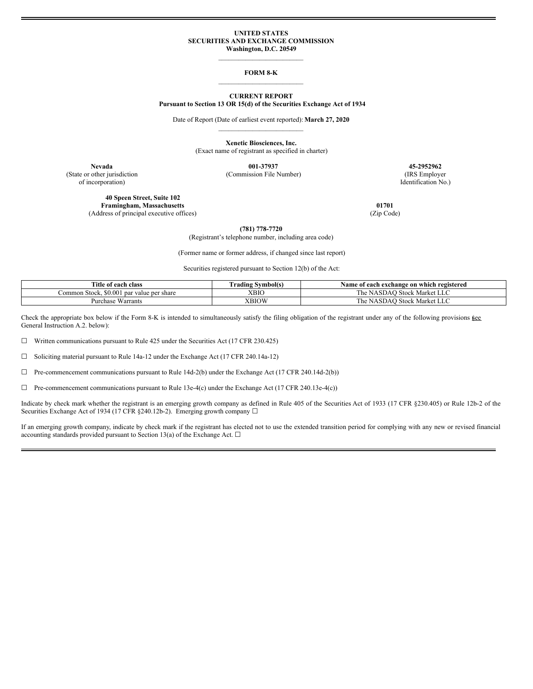### **UNITED STATES SECURITIES AND EXCHANGE COMMISSION Washington, D.C. 20549**

## $\mathcal{L}_\text{max}$ **FORM 8-K**  $\mathcal{L}_\text{max}$

### **CURRENT REPORT**

**Pursuant to Section 13 OR 15(d) of the Securities Exchange Act of 1934**

Date of Report (Date of earliest event reported):**March 27, 2020**  $\mathcal{L}_\text{max}$ 

> **Xenetic Biosciences, Inc.** (Exact name of registrant as specified in charter)

**Nevada 001-37937 45-2952962** (State or other jurisdiction (Commission File Number) (IRS Employer

of incorporation) Identification No.)

**40 Speen Street, Suite 102 Framingham, Massachusetts 01701** (Address of principal executive offices) (Zip Code)

**(781) 778-7720**

(Registrant's telephone number, including area code)

(Former name or former address, if changed since last report)

Securities registered pursuant to Section 12(b) of the Act:

| Title<br>e of each class                          | Urading Symbol(s. | Name of each exchange on which registered    |
|---------------------------------------------------|-------------------|----------------------------------------------|
| \$0.001<br>∴ommon Stock.<br>l par value per share | XBIC              | <b>Stock Market</b><br>r he !<br>NASDAC<br>. |
| $- -$<br>Warrants<br>Purchase                     | XBIOW             | ) Stock Market LLC<br>The NASDAO             |

Check the appropriate box below if the Form 8-K is intended to simultaneously satisfy the filing obligation of the registrant under any of the following provisions  $\underline{\mathfrak{g}}$ General Instruction A.2. below):

☐ Written communications pursuant to Rule 425 under the Securities Act (17 CFR 230.425)

☐ Soliciting material pursuant to Rule 14a-12 under the Exchange Act (17 CFR 240.14a-12)

☐ Pre-commencement communications pursuant to Rule 14d-2(b) under the Exchange Act (17 CFR 240.14d-2(b))

 $\Box$  Pre-commencement communications pursuant to Rule 13e-4(c) under the Exchange Act (17 CFR 240.13e-4(c))

Indicate by check mark whether the registrant is an emerging growth company as defined in Rule 405 of the Securities Act of 1933 (17 CFR §230.405) or Rule 12b-2 of the Securities Exchange Act of 1934 (17 CFR §240.12b-2). Emerging growth company □

If an emerging growth company, indicate by check mark if the registrant has elected not to use the extended transition period for complying with any new or revised financial accounting standards provided pursuant to Section 13(a) of the Exchange Act.  $\Box$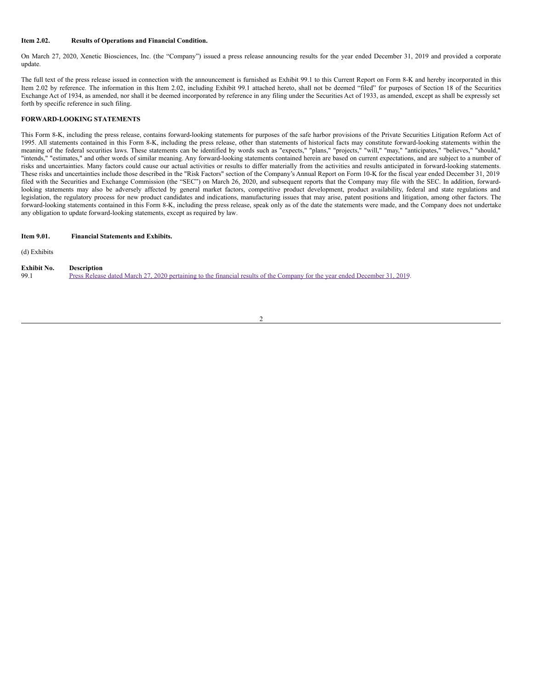### **Item 2.02. Results of Operations and Financial Condition.**

On March 27, 2020, Xenetic Biosciences, Inc. (the "Company") issued a press release announcing results for the year ended December 31, 2019 and provided a corporate update.

The full text of the press release issued in connection with the announcement is furnished as Exhibit 99.1 to this Current Report on Form 8-K and hereby incorporated in this Item 2.02 by reference. The information in this Item 2.02, including Exhibit 99.1 attached hereto, shall not be deemed "filed" for purposes of Section 18 of the Securities Exchange Act of 1934, as amended, nor shall it be deemed incorporated by reference in any filing under the Securities Act of 1933, as amended, except as shall be expressly set forth by specific reference in such filing.

### **FORWARD-LOOKING STATEMENTS**

This Form 8-K, including the press release, contains forward-looking statements for purposes of the safe harbor provisions of the Private Securities Litigation Reform Act of 1995. All statements contained in this Form 8-K, including the press release, other than statements of historical facts may constitute forward-looking statements within the meaning of the federal securities laws. These statements can be identified by words such as "expects," "plans," "projects," "will," "may," "anticipates," "believes," "should," "intends," "estimates," and other words of similar meaning. Any forward-looking statements contained herein are based on current expectations, and are subject to a number of risks and uncertainties. Many factors could cause our actual activities or results to differ materially from the activities and results anticipated in forward-looking statements. These risks and uncertainties include those described in the "Risk Factors" section of the Company's Annual Report on Form 10-K for the fiscal year ended December 31, 2019 filed with the Securities and Exchange Commission (the "SEC") on March 26, 2020, and subsequent reports that the Company may file with the SEC. In addition, forwardlooking statements may also be adversely affected by general market factors, competitive product development, product availability, federal and state regulations and legislation, the regulatory process for new product candidates and indications, manufacturing issues that may arise, patent positions and litigation, among other factors. The forward-looking statements contained in this Form 8-K, including the press release, speak only as of the date the statements were made, and the Company does not undertake any obligation to update forward-looking statements, except as required by law.

### **Item 9.01. Financial Statements and Exhibits.**

(d) Exhibits

### **Exhibit No. Description**

99.1 Press Release dated March 27, 2020 pertaining to the financial results of the Company for the year ended [December](#page-4-0) 31, 2019.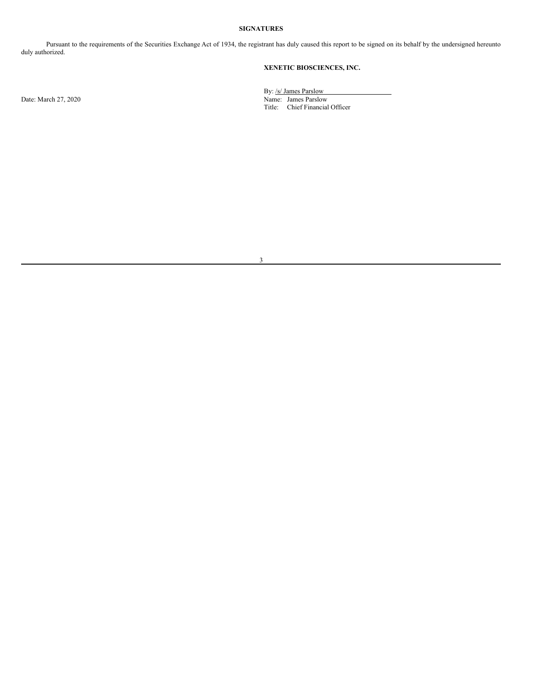## **SIGNATURES**

Pursuant to the requirements of the Securities Exchange Act of 1934, the registrant has duly caused this report to be signed on its behalf by the undersigned hereunto duly authorized.

# **XENETIC BIOSCIENCES, INC.**

By: /s/ James Parslow Date: March 27, 2020 Name: James Parslow Title: Chief Financial Officer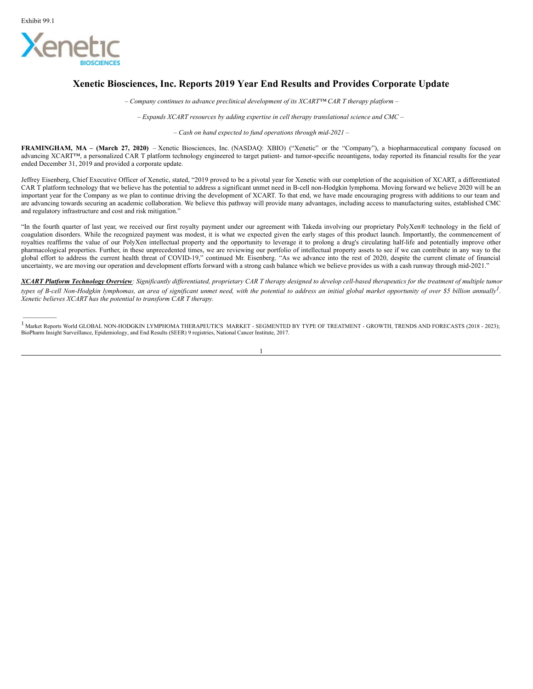*\_\_\_\_\_\_\_\_\_\_*



# **Xenetic Biosciences, Inc. Reports 2019 Year End Results and Provides Corporate Update**

*– Company continues to advance preclinical development of its XCART™ CAR T therapy platform –*

*– Expands XCART resources by adding expertise in cell therapy translational science and CMC –*

*– Cash on hand expected to fund operations through mid-2021 –*

**FRAMINGHAM, MA – (March 27, 2020)** – Xenetic Biosciences, Inc. (NASDAQ: XBIO) ("Xenetic" or the "Company"), a biopharmaceutical company focused on advancing XCART™, a personalized CAR T platform technology engineered to target patient- and tumor-specific neoantigens, today reported its financial results for the year ended December 31, 2019 and provided a corporate update.

Jeffrey Eisenberg, Chief Executive Officer of Xenetic, stated, "2019 proved to be a pivotal year for Xenetic with our completion of the acquisition of XCART, a differentiated CAR T platform technology that we believe has the potential to address a significant unmet need in B-cell non-Hodgkin lymphoma. Moving forward we believe 2020 will be an important year for the Company as we plan to continue driving the development of XCART. To that end, we have made encouraging progress with additions to our team and are advancing towards securing an academic collaboration. We believe this pathway will provide many advantages, including access to manufacturing suites, established CMC and regulatory infrastructure and cost and risk mitigation."

"In the fourth quarter of last year, we received our first royalty payment under our agreement with Takeda involving our proprietary PolyXen® technology in the field of coagulation disorders. While the recognized payment was modest, it is what we expected given the early stages of this product launch. Importantly, the commencement of royalties reaffirms the value of our PolyXen intellectual property and the opportunity to leverage it to prolong a drug's circulating half-life and potentially improve other pharmacological properties. Further, in these unprecedented times, we are reviewing our portfolio of intellectual property assets to see if we can contribute in any way to the global effort to address the current health threat of COVID-19," continued Mr. Eisenberg. "As we advance into the rest of 2020, despite the current climate of financial uncertainty, we are moving our operation and development efforts forward with a strong cash balance which we believe provides us with a cash runway through mid-2021."

XCART Platform Technology Overview: Significantly differentiated, proprietary CAR T therapy designed to develop cell-based therapeutics for the treatment of multiple tumor types of B-cell Non-Hodgkin lymphomas, an area of significant unmet need, with the potential to address an initial global market opportunity of over \$5 billion annually<sup>1</sup>. *Xenetic believes XCART has the potential to transform CAR T therapy.*

<sup>1</sup> Market Reports World GLOBAL NON-HODGKIN LYMPHOMA THERAPEUTICS MARKET - SEGMENTED BY TYPE OF TREATMENT - GROWTH, TRENDS AND FORECASTS (2018 - 2023); BioPharm Insight Surveillance, Epidemiology, and End Results (SEER) 9 registries, National Cancer Institute, 2017.

1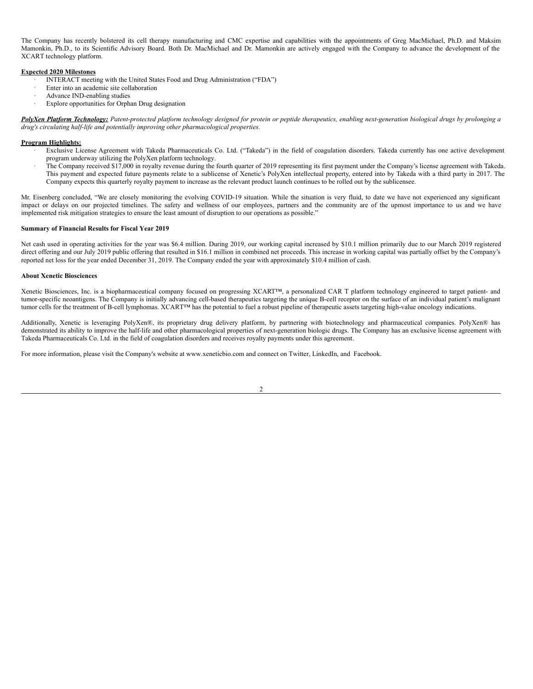<span id="page-4-0"></span>The Company has recently bolstered its cell therapy manufacturing and CMC expertise and capabilities with the appointments of Greg MacMichael, Ph.D. and Maksim Mamonkin, Ph.D., to its Scientific Advisory Board. Both Dr. MacMichael and Dr. Mamonkin are actively engaged with the Company to advance the development of the XCART technology platform.

## **Expected 2020 Milestones**

- INTERACT meeting with the United States Food and Drug Administration ("FDA")
- Enter into an academic site collaboration
- Advance IND-enabling studies
- Explore opportunities for Orphan Drug designation

PolyXen Platform Technology: Patent-protected platform technology designed for protein or peptide therapeutics, enabling next-generation biological drugs by prolonging a *drug's circulating half-life and potentially improving other pharmacological properties.*

## **Program Highlights:**

- · Exclusive License Agreement with Takeda Pharmaceuticals Co. Ltd. ("Takeda") in the field of coagulation disorders. Takeda currently has one active development program underway utilizing the PolyXen platform technology.
- · The Company received \$17,000 in royalty revenue during the fourth quarter of 2019 representing its first payment under the Company's license agreement with Takeda. This payment and expected future payments relate to a sublicense of Xenetic's PolyXen intellectual property, entered into by Takeda with a third party in 2017. The Company expects this quarterly royalty payment to increase as the relevant product launch continues to be rolled out by the sublicensee.

Mr. Eisenberg concluded, "We are closely monitoring the evolving COVID-19 situation. While the situation is very fluid, to date we have not experienced any significant impact or delays on our projected timelines. The safety and wellness of our employees, partners and the community are of the upmost importance to us and we have implemented risk mitigation strategies to ensure the least amount of disruption to our operations as possible."

### **Summary of Financial Results for Fiscal Year 2019**

Net cash used in operating activities for the year was \$6.4 million. During 2019, our working capital increased by \$10.1 million primarily due to our March 2019 registered direct offering and our July 2019 public offering that resulted in \$16.1 million in combined net proceeds. This increase in working capital was partially offset by the Company's reported net loss for the year ended December 31, 2019. The Company ended the year with approximately \$10.4 million of cash.

### **About Xenetic Biosciences**

Xenetic Biosciences, Inc. is a biopharmaceutical company focused on progressing XCART™, a personalized CAR T platform technology engineered to target patient- and tumor-specific neoantigens. The Company is initially advancing cell-based therapeutics targeting the unique B-cell receptor on the surface of an individual patient's malignant tumor cells for the treatment of B-cell lymphomas. XCART™ has the potential to fuel a robust pipeline of therapeutic assets targeting high-value oncology indications.

Additionally, Xenetic is leveraging PolyXen®, its proprietary drug delivery platform, by partnering with biotechnology and pharmaceutical companies. PolyXen® has demonstrated its ability to improve the half-life and other pharmacological properties of next-generation biologic drugs. The Company has an exclusive license agreement with Takeda Pharmaceuticals Co. Ltd. in the field of coagulation disorders and receives royalty payments under this agreement.

For more information, please visit the Company's website at www.xeneticbio.com and connect on Twitter, LinkedIn, and Facebook.